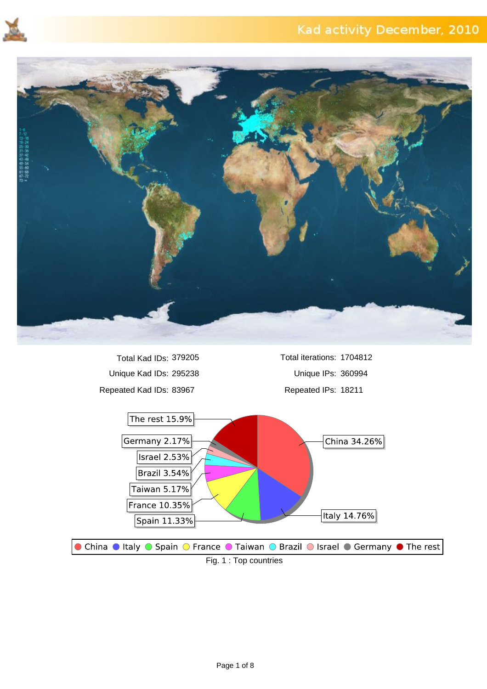



Unique Kad IDs: 295238 Unique IPs: 360994 Repeated Kad IDs: 83967 Repeated IPs: 18211 Total Kad IDs: 379205

Total iterations: 1704812

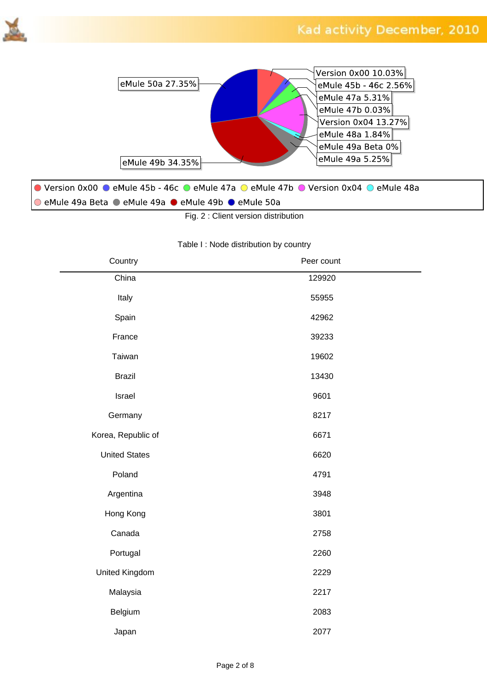



Fig. 2 : Client version distribution

#### Table I : Node distribution by country

| Country              | Peer count |
|----------------------|------------|
| China                | 129920     |
| Italy                | 55955      |
| Spain                | 42962      |
| France               | 39233      |
| Taiwan               | 19602      |
| <b>Brazil</b>        | 13430      |
| Israel               | 9601       |
| Germany              | 8217       |
| Korea, Republic of   | 6671       |
| <b>United States</b> | 6620       |
| Poland               | 4791       |
| Argentina            | 3948       |
| Hong Kong            | 3801       |
| Canada               | 2758       |
| Portugal             | 2260       |
| United Kingdom       | 2229       |
| Malaysia             | 2217       |
| Belgium              | 2083       |
| Japan                | 2077       |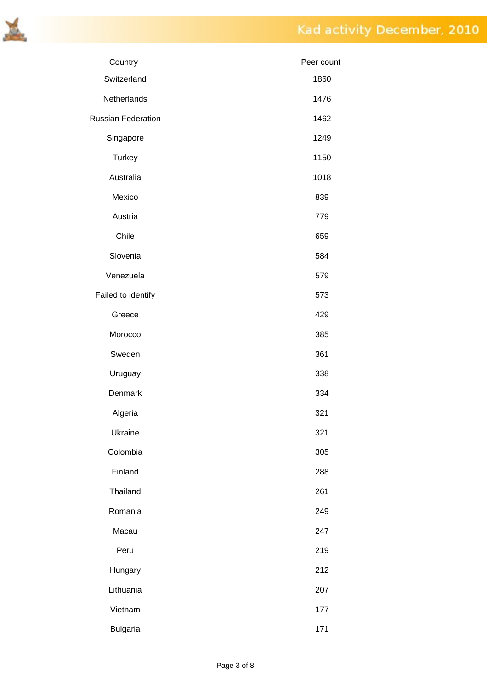

| Country            | Peer count |
|--------------------|------------|
| Switzerland        | 1860       |
| Netherlands        | 1476       |
| Russian Federation | 1462       |
| Singapore          | 1249       |
| <b>Turkey</b>      | 1150       |
| Australia          | 1018       |
| Mexico             | 839        |
| Austria            | 779        |
| Chile              | 659        |
| Slovenia           | 584        |
| Venezuela          | 579        |
| Failed to identify | 573        |
| Greece             | 429        |
| Morocco            | 385        |
| Sweden             | 361        |
| Uruguay            | 338        |
| Denmark            | 334        |
| Algeria            | 321        |
| Ukraine            | 321        |
| Colombia           | 305        |
| Finland            | 288        |
| Thailand           | 261        |
| Romania            | 249        |
| Macau              | 247        |
| Peru               | 219        |
| Hungary            | 212        |
| Lithuania          | 207        |
| Vietnam            | 177        |
| <b>Bulgaria</b>    | 171        |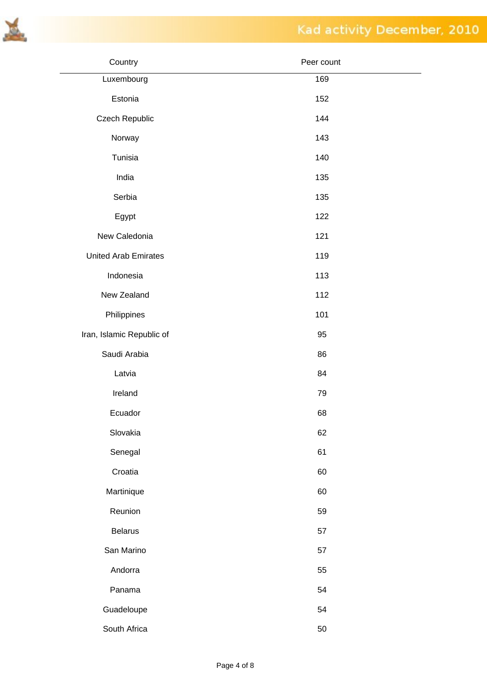



| Country                     | Peer count |
|-----------------------------|------------|
| Luxembourg                  | 169        |
| Estonia                     | 152        |
| Czech Republic              | 144        |
| Norway                      | 143        |
| Tunisia                     | 140        |
| India                       | 135        |
| Serbia                      | 135        |
| Egypt                       | 122        |
| New Caledonia               | 121        |
| <b>United Arab Emirates</b> | 119        |
| Indonesia                   | 113        |
| New Zealand                 | 112        |
| Philippines                 | 101        |
| Iran, Islamic Republic of   | 95         |
| Saudi Arabia                | 86         |
| Latvia                      | 84         |
| Ireland                     | 79         |
| Ecuador                     | 68         |
| Slovakia                    | 62         |
| Senegal                     | 61         |
| Croatia                     | 60         |
| Martinique                  | 60         |
| Reunion                     | 59         |
| <b>Belarus</b>              | 57         |
| San Marino                  | 57         |
| Andorra                     | 55         |
| Panama                      | 54         |
| Guadeloupe                  | 54         |
| South Africa                | 50         |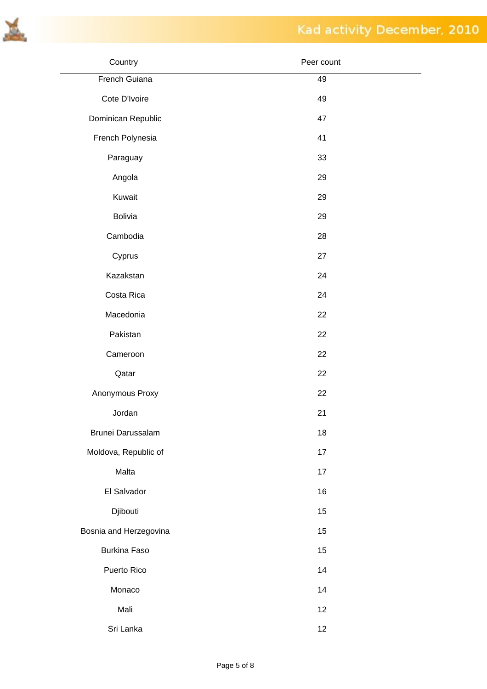

| Country                | Peer count |
|------------------------|------------|
| French Guiana          | 49         |
| Cote D'Ivoire          | 49         |
| Dominican Republic     | 47         |
| French Polynesia       | 41         |
| Paraguay               | 33         |
| Angola                 | 29         |
| Kuwait                 | 29         |
| Bolivia                | 29         |
| Cambodia               | 28         |
| Cyprus                 | 27         |
| Kazakstan              | 24         |
| Costa Rica             | 24         |
| Macedonia              | 22         |
| Pakistan               | 22         |
| Cameroon               | 22         |
| Qatar                  | 22         |
| Anonymous Proxy        | 22         |
| Jordan                 | 21         |
| Brunei Darussalam      | 18         |
| Moldova, Republic of   | 17         |
| Malta                  | 17         |
| El Salvador            | 16         |
| Djibouti               | 15         |
| Bosnia and Herzegovina | 15         |
| <b>Burkina Faso</b>    | 15         |
| Puerto Rico            | 14         |
| Monaco                 | 14         |
| Mali                   | 12         |
| Sri Lanka              | 12         |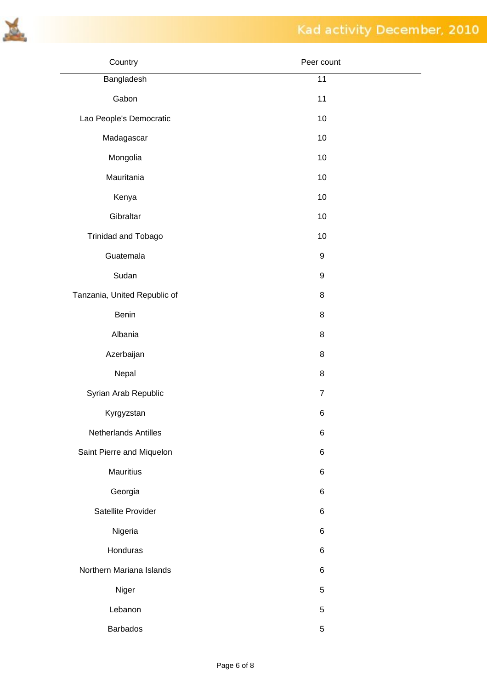

| Country                      | Peer count       |  |
|------------------------------|------------------|--|
| Bangladesh                   | 11               |  |
| Gabon                        | 11               |  |
| Lao People's Democratic      | 10               |  |
| Madagascar                   | 10               |  |
| Mongolia                     | 10               |  |
| Mauritania                   | 10               |  |
| Kenya                        | 10               |  |
| Gibraltar                    | 10               |  |
| Trinidad and Tobago          | 10               |  |
| Guatemala                    | $\boldsymbol{9}$ |  |
| Sudan                        | $\boldsymbol{9}$ |  |
| Tanzania, United Republic of | 8                |  |
| Benin                        | 8                |  |
| Albania                      | 8                |  |
| Azerbaijan                   | 8                |  |
| Nepal                        | 8                |  |
| Syrian Arab Republic         | $\boldsymbol{7}$ |  |
| Kyrgyzstan                   | $\,6$            |  |
| Netherlands Antilles         | $\,6$            |  |
| Saint Pierre and Miquelon    | 6                |  |
| Mauritius                    | 6                |  |
| Georgia                      | 6                |  |
| Satellite Provider           | 6                |  |
| Nigeria                      | 6                |  |
| Honduras                     | 6                |  |
| Northern Mariana Islands     | $\,6$            |  |
| Niger                        | 5                |  |
| Lebanon                      | 5                |  |
| Barbados                     | $\mathbf 5$      |  |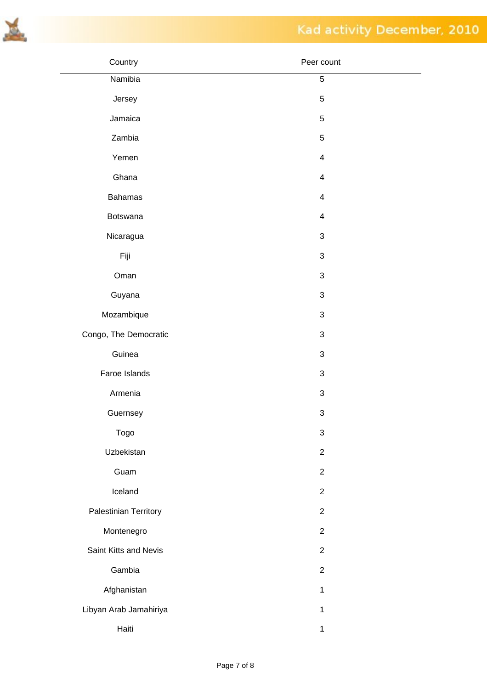

| Country                | Peer count                |
|------------------------|---------------------------|
| Namibia                | 5                         |
| Jersey                 | $\mathbf 5$               |
| Jamaica                | $\mathbf 5$               |
| Zambia                 | $\mathbf 5$               |
| Yemen                  | $\overline{\mathbf{4}}$   |
| Ghana                  | $\overline{\mathbf{4}}$   |
| <b>Bahamas</b>         | $\overline{\mathcal{A}}$  |
| Botswana               | $\overline{\mathcal{A}}$  |
| Nicaragua              | $\ensuremath{\mathsf{3}}$ |
| Fiji                   | $\ensuremath{\mathsf{3}}$ |
| Oman                   | $\ensuremath{\mathsf{3}}$ |
| Guyana                 | $\ensuremath{\mathsf{3}}$ |
| Mozambique             | $\ensuremath{\mathsf{3}}$ |
| Congo, The Democratic  | $\ensuremath{\mathsf{3}}$ |
| Guinea                 | $\ensuremath{\mathsf{3}}$ |
| Faroe Islands          | $\ensuremath{\mathsf{3}}$ |
| Armenia                | $\ensuremath{\mathsf{3}}$ |
| Guernsey               | $\ensuremath{\mathsf{3}}$ |
| Togo                   | $\ensuremath{\mathsf{3}}$ |
| Uzbekistan             | $\mathbf{2}$              |
| Guam                   | $\overline{2}$            |
| Iceland                | $\overline{2}$            |
| Palestinian Territory  | $\overline{2}$            |
| Montenegro             | $\overline{2}$            |
| Saint Kitts and Nevis  | $\overline{2}$            |
| Gambia                 | $\overline{2}$            |
| Afghanistan            | $\mathbf{1}$              |
| Libyan Arab Jamahiriya | $\mathbf{1}$              |
| Haiti                  | $\mathbf{1}$              |